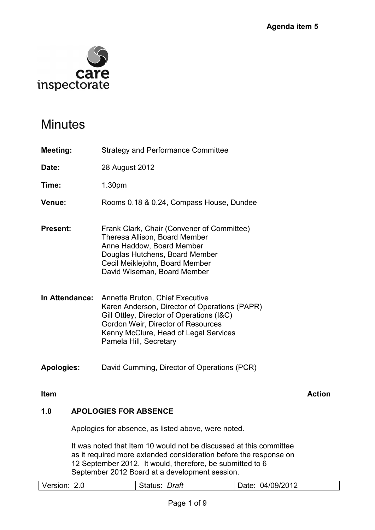

# **Minutes**

- **Meeting:** Strategy and Performance Committee
- **Date:** 28 August 2012

**Time:** 1.30pm

- **Venue:** Rooms 0.18 & 0.24, Compass House, Dundee
- **Present:** Frank Clark, Chair (Convener of Committee) Theresa Allison, Board Member Anne Haddow, Board Member Douglas Hutchens, Board Member Cecil Meiklejohn, Board Member David Wiseman, Board Member
- **In Attendance:** Annette Bruton, Chief Executive Karen Anderson, Director of Operations (PAPR) Gill Ottley, Director of Operations (I&C) Gordon Weir, Director of Resources Kenny McClure, Head of Legal Services Pamela Hill, Secretary
- **Apologies:** David Cumming, Director of Operations (PCR)

**Item Action Action** Action **Action** 

## **1.0 APOLOGIES FOR ABSENCE**

Apologies for absence, as listed above, were noted.

It was noted that Item 10 would not be discussed at this committee as it required more extended consideration before the response on 12 September 2012. It would, therefore, be submitted to 6 September 2012 Board at a development session.

| Version: | Draft   | 04/09/2012 |
|----------|---------|------------|
| 2.0      | Status: | Date:      |
|          |         |            |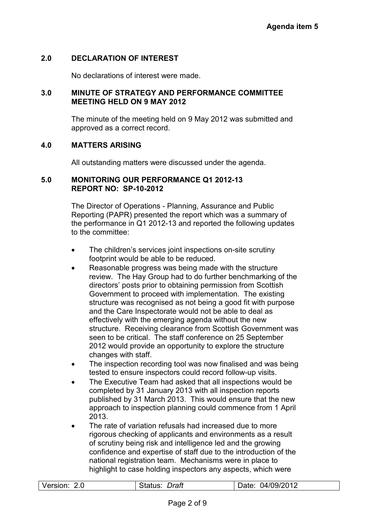#### **2.0 DECLARATION OF INTEREST**

No declarations of interest were made.

#### **3.0 MINUTE OF STRATEGY AND PERFORMANCE COMMITTEE MEETING HELD ON 9 MAY 2012**

 The minute of the meeting held on 9 May 2012 was submitted and approved as a correct record.

#### **4.0 MATTERS ARISING**

All outstanding matters were discussed under the agenda.

#### **5.0 MONITORING OUR PERFORMANCE Q1 2012-13 REPORT NO: SP-10-2012**

 The Director of Operations - Planning, Assurance and Public Reporting (PAPR) presented the report which was a summary of the performance in Q1 2012-13 and reported the following updates to the committee:

- The children's services joint inspections on-site scrutiny footprint would be able to be reduced.
- Reasonable progress was being made with the structure review. The Hay Group had to do further benchmarking of the directors' posts prior to obtaining permission from Scottish Government to proceed with implementation. The existing structure was recognised as not being a good fit with purpose and the Care Inspectorate would not be able to deal as effectively with the emerging agenda without the new structure. Receiving clearance from Scottish Government was seen to be critical. The staff conference on 25 September 2012 would provide an opportunity to explore the structure changes with staff.
- The inspection recording tool was now finalised and was being tested to ensure inspectors could record follow-up visits.
- The Executive Team had asked that all inspections would be completed by 31 January 2013 with all inspection reports published by 31 March 2013. This would ensure that the new approach to inspection planning could commence from 1 April 2013.
- The rate of variation refusals had increased due to more rigorous checking of applicants and environments as a result of scrutiny being risk and intelligence led and the growing confidence and expertise of staff due to the introduction of the national registration team. Mechanisms were in place to highlight to case holding inspectors any aspects, which were

| Version:<br>Draft<br>04/09/2012<br>2.0<br>⊃ate: |
|-------------------------------------------------|
|-------------------------------------------------|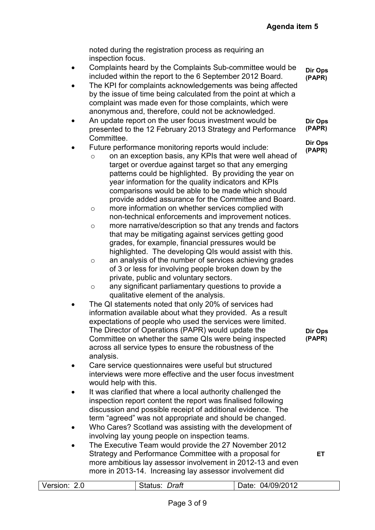noted during the registration process as requiring an inspection focus.

- Complaints heard by the Complaints Sub-committee would be included within the report to the 6 September 2012 Board. **Dir Ops (PAPR)**
- The KPI for complaints acknowledgements was being affected by the issue of time being calculated from the point at which a complaint was made even for those complaints, which were anonymous and, therefore, could not be acknowledged.
- An update report on the user focus investment would be presented to the 12 February 2013 Strategy and Performance Committee. **Dir Ops (PAPR) Dir Ops**

#### Future performance monitoring reports would include: **(PAPR)**

- o on an exception basis, any KPIs that were well ahead of target or overdue against target so that any emerging patterns could be highlighted. By providing the year on year information for the quality indicators and KPIs comparisons would be able to be made which should provide added assurance for the Committee and Board.
- o more information on whether services complied with non-technical enforcements and improvement notices.
- o more narrative/description so that any trends and factors that may be mitigating against services getting good grades, for example, financial pressures would be highlighted. The developing QIs would assist with this.
- o an analysis of the number of services achieving grades of 3 or less for involving people broken down by the private, public and voluntary sectors.
- o any significant parliamentary questions to provide a qualitative element of the analysis.
- The QI statements noted that only 20% of services had information available about what they provided. As a result expectations of people who used the services were limited. The Director of Operations (PAPR) would update the Committee on whether the same QIs were being inspected across all service types to ensure the robustness of the analysis.
- **Dir Ops (PAPR)**

**ET** 

- Care service questionnaires were useful but structured interviews were more effective and the user focus investment would help with this.
- It was clarified that where a local authority challenged the inspection report content the report was finalised following discussion and possible receipt of additional evidence. The term "agreed" was not appropriate and should be changed.
- Who Cares? Scotland was assisting with the development of involving lay young people on inspection teams.
- The Executive Team would provide the 27 November 2012 Strategy and Performance Committee with a proposal for more ambitious lay assessor involvement in 2012-13 and even more in 2013-14. Increasing lay assessor involvement did

Version: 2.0 Status: *Draft* Date: 04/09/2012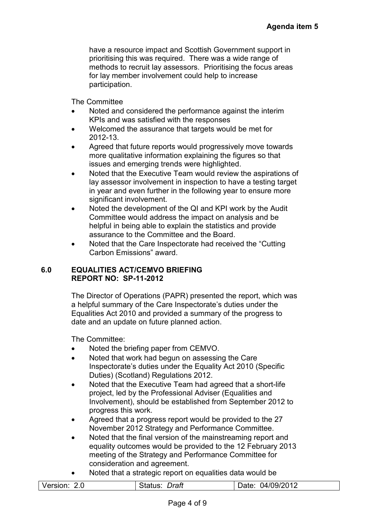have a resource impact and Scottish Government support in prioritising this was required. There was a wide range of methods to recruit lay assessors. Prioritising the focus areas for lay member involvement could help to increase participation.

The Committee

- Noted and considered the performance against the interim KPIs and was satisfied with the responses
- Welcomed the assurance that targets would be met for 2012-13.
- Agreed that future reports would progressively move towards more qualitative information explaining the figures so that issues and emerging trends were highlighted.
- Noted that the Executive Team would review the aspirations of lay assessor involvement in inspection to have a testing target in year and even further in the following year to ensure more significant involvement.
- Noted the development of the QI and KPI work by the Audit Committee would address the impact on analysis and be helpful in being able to explain the statistics and provide assurance to the Committee and the Board.
- Noted that the Care Inspectorate had received the "Cutting" Carbon Emissions" award.

#### **6.0 EQUALITIES ACT/CEMVO BRIEFING REPORT NO: SP-11-2012**

The Director of Operations (PAPR) presented the report, which was a helpful summary of the Care Inspectorate's duties under the Equalities Act 2010 and provided a summary of the progress to date and an update on future planned action.

The Committee:

- Noted the briefing paper from CEMVO.
- Noted that work had begun on assessing the Care Inspectorate's duties under the Equality Act 2010 (Specific Duties) (Scotland) Regulations 2012.
- Noted that the Executive Team had agreed that a short-life project, led by the Professional Adviser (Equalities and Involvement), should be established from September 2012 to progress this work.
- Agreed that a progress report would be provided to the 27 November 2012 Strategy and Performance Committee.
- Noted that the final version of the mainstreaming report and equality outcomes would be provided to the 12 February 2013 meeting of the Strategy and Performance Committee for consideration and agreement.
- Noted that a strategic report on equalities data would be

| Version: | Draft   | 04/09/2012 |
|----------|---------|------------|
| 2.0      | Status: | Date:      |
|          |         |            |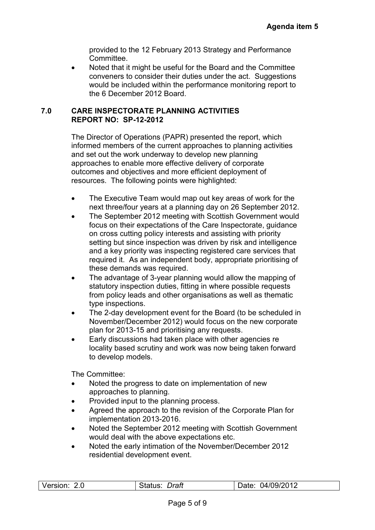provided to the 12 February 2013 Strategy and Performance Committee.

• Noted that it might be useful for the Board and the Committee conveners to consider their duties under the act. Suggestions would be included within the performance monitoring report to the 6 December 2012 Board.

#### **7.0 CARE INSPECTORATE PLANNING ACTIVITIES REPORT NO: SP-12-2012**

The Director of Operations (PAPR) presented the report, which informed members of the current approaches to planning activities and set out the work underway to develop new planning approaches to enable more effective delivery of corporate outcomes and objectives and more efficient deployment of resources. The following points were highlighted:

- The Executive Team would map out key areas of work for the next three/four years at a planning day on 26 September 2012.
- The September 2012 meeting with Scottish Government would focus on their expectations of the Care Inspectorate, guidance on cross cutting policy interests and assisting with priority setting but since inspection was driven by risk and intelligence and a key priority was inspecting registered care services that required it. As an independent body, appropriate prioritising of these demands was required.
- The advantage of 3-year planning would allow the mapping of statutory inspection duties, fitting in where possible requests from policy leads and other organisations as well as thematic type inspections.
- The 2-day development event for the Board (to be scheduled in November/December 2012) would focus on the new corporate plan for 2013-15 and prioritising any requests.
- Early discussions had taken place with other agencies re locality based scrutiny and work was now being taken forward to develop models.

The Committee:

- Noted the progress to date on implementation of new approaches to planning.
- Provided input to the planning process.
- Agreed the approach to the revision of the Corporate Plan for implementation 2013-2016.
- Noted the September 2012 meeting with Scottish Government would deal with the above expectations etc.
- Noted the early intimation of the November/December 2012 residential development event.

| Version:<br>04/09/2012<br>Draft<br>2.0<br>)ate:<br>Status: |
|------------------------------------------------------------|
|------------------------------------------------------------|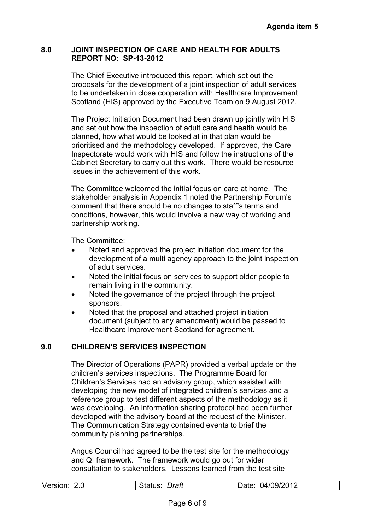#### **8.0 JOINT INSPECTION OF CARE AND HEALTH FOR ADULTS REPORT NO: SP-13-2012**

The Chief Executive introduced this report, which set out the proposals for the development of a joint inspection of adult services to be undertaken in close cooperation with Healthcare Improvement Scotland (HIS) approved by the Executive Team on 9 August 2012.

The Project Initiation Document had been drawn up jointly with HIS and set out how the inspection of adult care and health would be planned, how what would be looked at in that plan would be prioritised and the methodology developed. If approved, the Care Inspectorate would work with HIS and follow the instructions of the Cabinet Secretary to carry out this work. There would be resource issues in the achievement of this work.

The Committee welcomed the initial focus on care at home. The stakeholder analysis in Appendix 1 noted the Partnership Forum's comment that there should be no changes to staff's terms and conditions, however, this would involve a new way of working and partnership working.

The Committee:

- Noted and approved the project initiation document for the development of a multi agency approach to the joint inspection of adult services.
- Noted the initial focus on services to support older people to remain living in the community.
- Noted the governance of the project through the project sponsors.
- Noted that the proposal and attached project initiation document (subject to any amendment) would be passed to Healthcare Improvement Scotland for agreement.

#### **9.0 CHILDREN'S SERVICES INSPECTION**

The Director of Operations (PAPR) provided a verbal update on the children's services inspections. The Programme Board for Children's Services had an advisory group, which assisted with developing the new model of integrated children's services and a reference group to test different aspects of the methodology as it was developing. An information sharing protocol had been further developed with the advisory board at the request of the Minister. The Communication Strategy contained events to brief the community planning partnerships.

Angus Council had agreed to be the test site for the methodology and QI framework. The framework would go out for wider consultation to stakeholders. Lessons learned from the test site

|  | Version:<br>റ റ | <b>Draft</b> | 04/09/2012<br>Date: |
|--|-----------------|--------------|---------------------|
|--|-----------------|--------------|---------------------|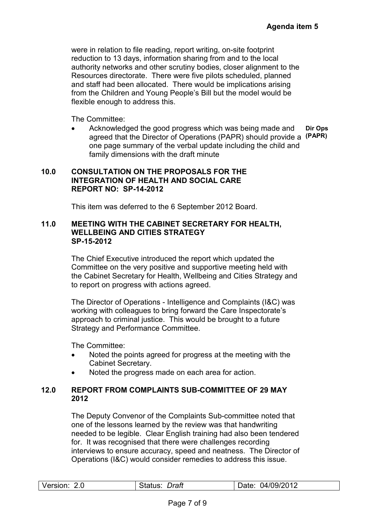were in relation to file reading, report writing, on-site footprint reduction to 13 days, information sharing from and to the local authority networks and other scrutiny bodies, closer alignment to the Resources directorate. There were five pilots scheduled, planned and staff had been allocated. There would be implications arising from the Children and Young People's Bill but the model would be flexible enough to address this.

The Committee:

• Acknowledged the good progress which was being made and agreed that the Director of Operations (PAPR) should provide a **(PAPR)**  one page summary of the verbal update including the child and family dimensions with the draft minute **Dir Ops** 

#### **10.0 CONSULTATION ON THE PROPOSALS FOR THE INTEGRATION OF HEALTH AND SOCIAL CARE REPORT NO: SP-14-2012**

This item was deferred to the 6 September 2012 Board.

#### **11.0 MEETING WITH THE CABINET SECRETARY FOR HEALTH, WELLBEING AND CITIES STRATEGY SP-15-2012**

The Chief Executive introduced the report which updated the Committee on the very positive and supportive meeting held with the Cabinet Secretary for Health, Wellbeing and Cities Strategy and to report on progress with actions agreed.

The Director of Operations - Intelligence and Complaints (I&C) was working with colleagues to bring forward the Care Inspectorate's approach to criminal justice. This would be brought to a future Strategy and Performance Committee.

The Committee:

- Noted the points agreed for progress at the meeting with the Cabinet Secretary.
- Noted the progress made on each area for action.

#### **12.0 REPORT FROM COMPLAINTS SUB-COMMITTEE OF 29 MAY 2012**

The Deputy Convenor of the Complaints Sub-committee noted that one of the lessons learned by the review was that handwriting needed to be legible. Clear English training had also been tendered for. It was recognised that there were challenges recording interviews to ensure accuracy, speed and neatness. The Director of Operations (I&C) would consider remedies to address this issue.

| Version: | Draft   | 04/09/2012 |
|----------|---------|------------|
| 2.0      | Status: | Date:      |
|          |         |            |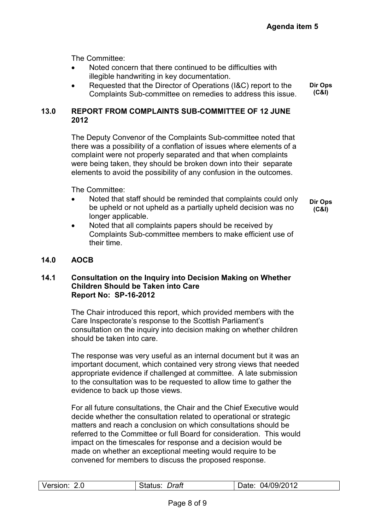The Committee:

- Noted concern that there continued to be difficulties with illegible handwriting in key documentation.
- Requested that the Director of Operations (I&C) report to the Complaints Sub-committee on remedies to address this issue. **Dir Ops (C&I)**

#### **13.0 REPORT FROM COMPLAINTS SUB-COMMITTEE OF 12 JUNE 2012**

The Deputy Convenor of the Complaints Sub-committee noted that there was a possibility of a conflation of issues where elements of a complaint were not properly separated and that when complaints were being taken, they should be broken down into their separate elements to avoid the possibility of any confusion in the outcomes.

The Committee:

- Noted that staff should be reminded that complaints could only be upheld or not upheld as a partially upheld decision was no longer applicable.
- Noted that all complaints papers should be received by Complaints Sub-committee members to make efficient use of their time.

## **14.0 AOCB**

#### **14.1 Consultation on the Inquiry into Decision Making on Whether Children Should be Taken into Care Report No: SP-16-2012**

The Chair introduced this report, which provided members with the Care Inspectorate's response to the Scottish Parliament's consultation on the inquiry into decision making on whether children should be taken into care.

The response was very useful as an internal document but it was an important document, which contained very strong views that needed appropriate evidence if challenged at committee. A late submission to the consultation was to be requested to allow time to gather the evidence to back up those views.

For all future consultations, the Chair and the Chief Executive would decide whether the consultation related to operational or strategic matters and reach a conclusion on which consultations should be referred to the Committee or full Board for consideration. This would impact on the timescales for response and a decision would be made on whether an exceptional meeting would require to be convened for members to discuss the proposed response.

**Dir Ops (C&I)**